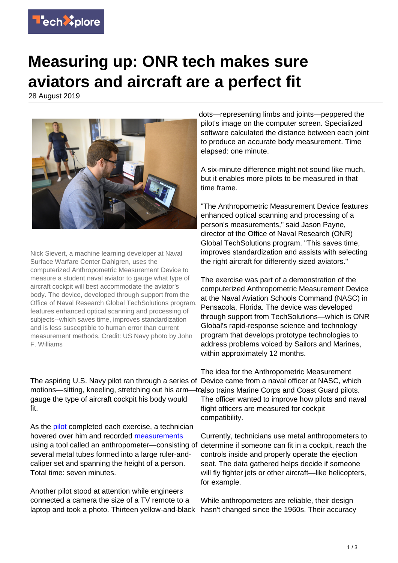

## **Measuring up: ONR tech makes sure aviators and aircraft are a perfect fit**

28 August 2019



Nick Sievert, a machine learning developer at Naval Surface Warfare Center Dahlgren, uses the computerized Anthropometric Measurement Device to measure a student naval aviator to gauge what type of aircraft cockpit will best accommodate the aviator's body. The device, developed through support from the Office of Naval Research Global TechSolutions program, features enhanced optical scanning and processing of subjects--which saves time, improves standardization and is less susceptible to human error than current measurement methods. Credit: US Navy photo by John F. Williams

The aspiring U.S. Navy pilot ran through a series of Device came from a naval officer at NASC, which motions—sitting, kneeling, stretching out his arm—toalso trains Marine Corps and Coast Guard pilots. gauge the type of aircraft cockpit his body would fit.

As the [pilot](https://techxplore.com/tags/pilot/) completed each exercise, a technician hovered over him and recorded [measurements](https://techxplore.com/tags/measurements/) using a tool called an anthropometer—consisting of determine if someone can fit in a cockpit, reach the several metal tubes formed into a large ruler-andcaliper set and spanning the height of a person. Total time: seven minutes.

Another pilot stood at attention while engineers connected a camera the size of a TV remote to a laptop and took a photo. Thirteen yellow-and-black

dots—representing limbs and joints—peppered the pilot's image on the computer screen. Specialized software calculated the distance between each joint to produce an accurate body measurement. Time elapsed: one minute.

A six-minute difference might not sound like much, but it enables more pilots to be measured in that time frame.

"The Anthropometric Measurement Device features enhanced optical scanning and processing of a person's measurements," said Jason Payne, director of the Office of Naval Research (ONR) Global TechSolutions program. "This saves time, improves standardization and assists with selecting the right aircraft for differently sized aviators."

The exercise was part of a demonstration of the computerized Anthropometric Measurement Device at the Naval Aviation Schools Command (NASC) in Pensacola, Florida. The device was developed through support from TechSolutions—which is ONR Global's rapid-response science and technology program that develops prototype technologies to address problems voiced by Sailors and Marines, within approximately 12 months.

The idea for the Anthropometric Measurement The officer wanted to improve how pilots and naval flight officers are measured for cockpit compatibility.

Currently, technicians use metal anthropometers to controls inside and properly operate the ejection seat. The data gathered helps decide if someone will fly fighter jets or other aircraft—like helicopters, for example.

While anthropometers are reliable, their design hasn't changed since the 1960s. Their accuracy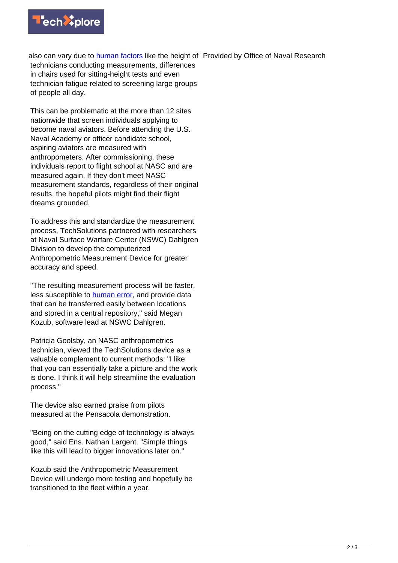

also can vary due to *human factors* like the height of Provided by Office of Naval Research technicians conducting measurements, differences in chairs used for sitting-height tests and even technician fatigue related to screening large groups of people all day.

This can be problematic at the more than 12 sites nationwide that screen individuals applying to become naval aviators. Before attending the U.S. Naval Academy or officer candidate school, aspiring aviators are measured with anthropometers. After commissioning, these individuals report to flight school at NASC and are measured again. If they don't meet NASC measurement standards, regardless of their original results, the hopeful pilots might find their flight dreams grounded.

To address this and standardize the measurement process, TechSolutions partnered with researchers at Naval Surface Warfare Center (NSWC) Dahlgren Division to develop the computerized Anthropometric Measurement Device for greater accuracy and speed.

"The resulting measurement process will be faster, less susceptible to [human error](https://techxplore.com/tags/human+error/), and provide data that can be transferred easily between locations and stored in a central repository," said Megan Kozub, software lead at NSWC Dahlgren.

Patricia Goolsby, an NASC anthropometrics technician, viewed the TechSolutions device as a valuable complement to current methods: "I like that you can essentially take a picture and the work is done. I think it will help streamline the evaluation process."

The device also earned praise from pilots measured at the Pensacola demonstration.

"Being on the cutting edge of technology is always good," said Ens. Nathan Largent. "Simple things like this will lead to bigger innovations later on."

Kozub said the Anthropometric Measurement Device will undergo more testing and hopefully be transitioned to the fleet within a year.